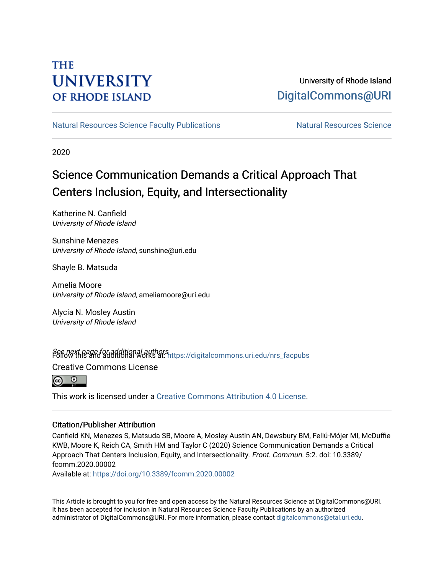## **THE UNIVERSITY OF RHODE ISLAND**

## University of Rhode Island [DigitalCommons@URI](https://digitalcommons.uri.edu/)

[Natural Resources Science Faculty Publications](https://digitalcommons.uri.edu/nrs_facpubs) Natural Resources Science

2020

# Science Communication Demands a Critical Approach That Centers Inclusion, Equity, and Intersectionality

Katherine N. Canfield University of Rhode Island

Sunshine Menezes University of Rhode Island, sunshine@uri.edu

Shayle B. Matsuda

Amelia Moore University of Rhode Island, ameliamoore@uri.edu

Alycia N. Mosley Austin University of Rhode Island

See next page for additional authors<br>Follow this and additional works at: https://digitalcommons.uri.edu/nrs\_facpubs

Creative Commons License



This work is licensed under a [Creative Commons Attribution 4.0 License](https://creativecommons.org/licenses/by/4.0/).

#### Citation/Publisher Attribution

Canfield KN, Menezes S, Matsuda SB, Moore A, Mosley Austin AN, Dewsbury BM, Feliú-Mójer MI, McDuffie KWB, Moore K, Reich CA, Smith HM and Taylor C (2020) Science Communication Demands a Critical Approach That Centers Inclusion, Equity, and Intersectionality. Front. Commun. 5:2. doi: 10.3389/ fcomm.2020.00002

Available at:<https://doi.org/10.3389/fcomm.2020.00002>

This Article is brought to you for free and open access by the Natural Resources Science at DigitalCommons@URI. It has been accepted for inclusion in Natural Resources Science Faculty Publications by an authorized administrator of DigitalCommons@URI. For more information, please contact [digitalcommons@etal.uri.edu.](mailto:digitalcommons@etal.uri.edu)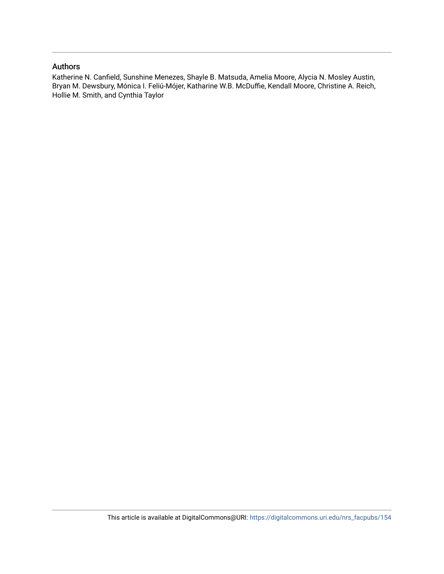#### Authors

Katherine N. Canfield, Sunshine Menezes, Shayle B. Matsuda, Amelia Moore, Alycia N. Mosley Austin, Bryan M. Dewsbury, Mónica I. Feliú-Mójer, Katharine W.B. McDuffie, Kendall Moore, Christine A. Reich, Hollie M. Smith, and Cynthia Taylor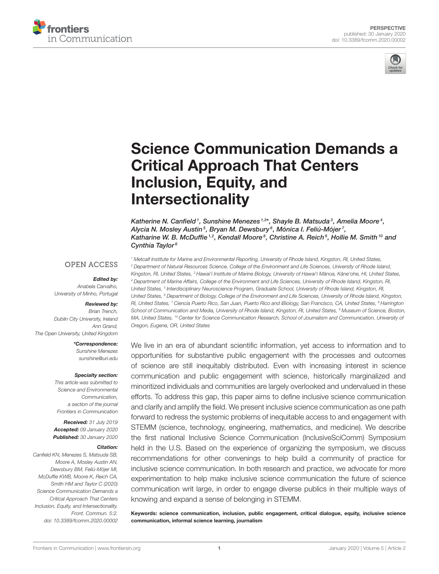



# [Science Communication Demands a](https://www.frontiersin.org/articles/10.3389/fcomm.2020.00002/full) Critical Approach That Centers Inclusion, Equity, and Intersectionality

[Katherine N. Canfield](http://loop.frontiersin.org/people/791409/overview)1, [Sunshine Menezes](http://loop.frontiersin.org/people/459279/overview)<sup>1,2\*</sup>, [Shayle B. Matsuda](http://loop.frontiersin.org/people/884253/overview)<sup>3</sup>, Amelia Moore<sup>4</sup>, [Alycia N. Mosley Austin](http://loop.frontiersin.org/people/890133/overview)<sup>5</sup>, [Bryan M. Dewsbury](http://loop.frontiersin.org/people/679629/overview)<sup>6</sup>, [Mónica I. Feliú-Mójer](http://loop.frontiersin.org/people/631061/overview)<sup>7</sup>, Katharine W. B. McDuffie<sup>1,2</sup>, [Kendall Moore](http://loop.frontiersin.org/people/805339/overview)<sup>8</sup>, Christine A. Reich<sup>9</sup>, [Hollie M. Smith](http://loop.frontiersin.org/people/403591/overview)<sup>10</sup> and Cynthia Taylor<sup>6</sup>

#### **OPEN ACCESS**

#### Edited by:

Anabela Carvalho, University of Minho, Portugal

#### Reviewed by:

Brian Trench, Dublin City University, Ireland Ann Grand, The Open University, United Kingdom

> \*Correspondence: Sunshine Menezes [sunshine@uri.edu](mailto:sunshine@uri.edu)

#### Specialty section:

This article was submitted to Science and Environmental Communication, a section of the journal Frontiers in Communication

Received: 31 July 2019 Accepted: 09 January 2020 Published: 30 January 2020

#### Citation:

Canfield KN, Menezes S, Matsuda SB, Moore A, Mosley Austin AN, Dewsbury BM, Feliú-Mójer MI, McDuffie KWB, Moore K, Reich CA, Smith HM and Taylor C (2020) Science Communication Demands a Critical Approach That Centers Inclusion, Equity, and Intersectionality. Front. Commun. 5:2. doi: [10.3389/fcomm.2020.00002](https://doi.org/10.3389/fcomm.2020.00002)

<sup>1</sup> Metcalf Institute for Marine and Environmental Reporting, University of Rhode Island, Kingston, RI, United States, <sup>2</sup> Department of Natural Resources Science, College of the Environment and Life Sciences. University of Rhode Island. Kingston, RI, United States, <sup>3</sup> Hawai'i Institute of Marine Biology, University of Hawai'i Mānoa, Kāne'ohe, HI, United States, <sup>4</sup> Department of Marine Affairs, College of the Environment and Life Sciences, University of Rhode Island, Kingston, RI, United States, <sup>5</sup> Interdisciplinary Neuroscience Program, Graduate School, University of Rhode Island, Kingston, RI, United States, <sup>6</sup> Department of Biology, College of the Environment and Life Sciences, University of Rhode Island, Kingston, RI, United States, <sup>7</sup> Ciencia Puerto Rico, San Juan, Puerto Rico and iBiology, San Francisco, CA, United States, <sup>8</sup> Harrington School of Communication and Media, University of Rhode Island, Kingston, RI, United States, <sup>9</sup> Museum of Science, Boston, MA, United States, <sup>10</sup> Center for Science Communication Research, School of Journalism and Communication, University of Oregon, Eugene, OR, United States

We live in an era of abundant scientific information, yet access to information and to opportunities for substantive public engagement with the processes and outcomes of science are still inequitably distributed. Even with increasing interest in science communication and public engagement with science, historically marginalized and minoritized individuals and communities are largely overlooked and undervalued in these efforts. To address this gap, this paper aims to define inclusive science communication and clarify and amplify the field. We present inclusive science communication as one path forward to redress the systemic problems of inequitable access to and engagement with STEMM (science, technology, engineering, mathematics, and medicine). We describe the first national Inclusive Science Communication (InclusiveSciComm) Symposium held in the U.S. Based on the experience of organizing the symposium, we discuss recommendations for other convenings to help build a community of practice for inclusive science communication. In both research and practice, we advocate for more experimentation to help make inclusive science communication the future of science communication writ large, in order to engage diverse publics in their multiple ways of knowing and expand a sense of belonging in STEMM.

Keywords: science communication, inclusion, public engagement, critical dialogue, equity, inclusive science communication, informal science learning, journalism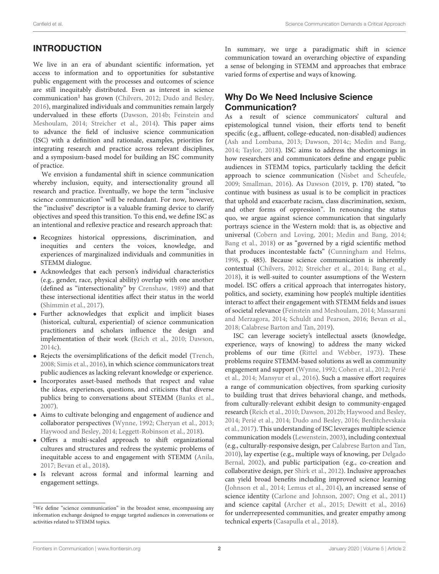## INTRODUCTION

We live in an era of abundant scientific information, yet access to information and to opportunities for substantive public engagement with the processes and outcomes of science are still inequitably distributed. Even as interest in science communication<sup>[1](#page-3-0)</sup> has grown [\(Chilvers, 2012;](#page-7-0) [Dudo and Besley,](#page-7-1) [2016\)](#page-7-1), marginalized individuals and communities remain largely undervalued in these efforts [\(Dawson, 2014b;](#page-7-2) Feinstein and Meshoulam, [2014;](#page-7-3) [Streicher et al., 2014\)](#page-8-0). This paper aims to advance the field of inclusive science communication (ISC) with a definition and rationale, examples, priorities for integrating research and practice across relevant disciplines, and a symposium-based model for building an ISC community of practice.

We envision a fundamental shift in science communication whereby inclusion, equity, and intersectionality ground all research and practice. Eventually, we hope the term "inclusive science communication" will be redundant. For now, however, the "inclusive" descriptor is a valuable framing device to clarify objectives and speed this transition. To this end, we define ISC as an intentional and reflexive practice and research approach that:

- Recognizes historical oppressions, discrimination, and inequities and centers the voices, knowledge, and experiences of marginalized individuals and communities in STEMM dialogue.
- Acknowledges that each person's individual characteristics (e.g., gender, race, physical ability) overlap with one another (defined as "intersectionality" by [Crenshaw, 1989\)](#page-7-4) and that these intersectional identities affect their status in the world [\(Shimmin et al., 2017\)](#page-8-1).
- Further acknowledges that explicit and implicit biases (historical, cultural, experiential) of science communication practitioners and scholars influence the design and implementation of their work [\(Reich et al., 2010;](#page-8-2) [Dawson,](#page-7-5) [2014c\)](#page-7-5).
- Rejects the oversimplifications of the deficit model [\(Trench,](#page-8-3) [2008;](#page-8-3) [Simis et al., 2016\)](#page-8-4), in which science communicators treat public audiences as lacking relevant knowledge or experience.
- Incorporates asset-based methods that respect and value the ideas, experiences, questions, and criticisms that diverse publics bring to conversations about STEMM [\(Banks et al.,](#page-7-6) [2007\)](#page-7-6).
- Aims to cultivate belonging and engagement of audience and collaborator perspectives [\(Wynne, 1992;](#page-9-0) [Cheryan et al., 2013;](#page-7-7) [Haywood and Besley, 2014;](#page-7-8) [Leggett-Robinson et al., 2018\)](#page-8-5).
- Offers a multi-scaled approach to shift organizational cultures and structures and redress the systemic problems of inequitable access to and engagement with STEMM [\(Anila,](#page-7-9) [2017;](#page-7-9) [Bevan et al., 2018\)](#page-7-10).
- Is relevant across formal and informal learning and engagement settings.

In summary, we urge a paradigmatic shift in science communication toward an overarching objective of expanding a sense of belonging in STEMM and approaches that embrace varied forms of expertise and ways of knowing.

#### Why Do We Need Inclusive Science Communication?

As a result of science communicators' cultural and epistemological tunnel vision, their efforts tend to benefit specific (e.g., affluent, college-educated, non-disabled) audiences [\(Ash and Lombana, 2013;](#page-7-11) [Dawson, 2014c;](#page-7-5) [Medin and Bang,](#page-8-6) [2014;](#page-8-6) [Taylor, 2018\)](#page-8-7). ISC aims to address the shortcomings in how researchers and communicators define and engage public audiences in STEMM topics, particularly tackling the deficit approach to science communication [\(Nisbet and Scheufele,](#page-8-8) [2009;](#page-8-8) [Smallman, 2016\)](#page-8-9). As [Dawson](#page-7-12) [\(2019,](#page-7-12) p. 170) stated, "to continue with business as usual is to be complicit in practices that uphold and exacerbate racism, class discrimination, sexism, and other forms of oppression". In renouncing the status quo, we argue against science communication that singularly portrays science in the Western mold: that is, as objective and universal [\(Cobern and Loving, 2001;](#page-7-13) [Medin and Bang, 2014;](#page-8-6) [Bang et al., 2018\)](#page-7-14) or as "governed by a rigid scientific method that produces incontestable facts" [\(Cunningham and Helms,](#page-7-15) [1998,](#page-7-15) p. 485). Because science communication is inherently contextual [\(Chilvers, 2012;](#page-7-0) [Streicher et al., 2014;](#page-8-0) [Bang et al.,](#page-7-14) [2018\)](#page-7-14), it is well-suited to counter assumptions of the Western model. ISC offers a critical approach that interrogates history, politics, and society, examining how people's multiple identities interact to affect their engagement with STEMM fields and issues of societal relevance [\(Feinstein and Meshoulam, 2014;](#page-7-3) Massarani and Merzagora, [2014;](#page-8-10) [Schuldt and Pearson, 2016;](#page-8-11) [Bevan et al.,](#page-7-10) [2018;](#page-7-10) [Calabrese Barton and Tan, 2019\)](#page-7-16).

ISC can leverage society's intellectual assets (knowledge, experience, ways of knowing) to address the many wicked problems of our time [\(Rittel and Webber, 1973\)](#page-8-12). These problems require STEMM-based solutions as well as community engagement and support [\(Wynne, 1992;](#page-9-0) [Cohen et al., 2012;](#page-7-17) Perié et al., [2014;](#page-8-13) [Mansyur et al., 2016\)](#page-8-14). Such a massive effort requires a range of communication objectives, from sparking curiosity to building trust that drives behavioral change, and methods, from culturally-relevant exhibit design to community-engaged research [\(Reich et al., 2010;](#page-8-2) [Dawson, 2012b;](#page-7-18) [Haywood and Besley,](#page-7-8) [2014;](#page-7-8) [Perié et al., 2014;](#page-8-13) [Dudo and Besley, 2016;](#page-7-1) Berditchevskaia et al., [2017\)](#page-7-19). This understanding of ISC leverages multiple science communication models [\(Lewenstein, 2003\)](#page-8-15), including contextual (e.g., culturally-responsive design, per [Calabrese Barton and Tan,](#page-7-20) [2010\)](#page-7-20), lay expertise (e.g., multiple ways of knowing, per Delgado Bernal, [2002\)](#page-7-21), and public participation (e.g., co-creation and collaborative design, per [Shirk et al., 2012\)](#page-8-16). Inclusive approaches can yield broad benefits including improved science learning [\(Johnson et al., 2014;](#page-8-17) [Lemus et al., 2014\)](#page-8-18), an increased sense of science identity [\(Carlone and Johnson, 2007;](#page-7-22) [Ong et al., 2011\)](#page-8-19) and science capital [\(Archer et al., 2015;](#page-7-23) [Dewitt et al., 2016\)](#page-7-24) for underrepresented communities, and greater empathy among technical experts [\(Casapulla et al., 2018\)](#page-7-25).

<span id="page-3-0"></span><sup>&</sup>lt;sup>1</sup>We define "science communication" in the broadest sense, encompassing any information exchange designed to engage targeted audiences in conversations or activities related to STEMM topics.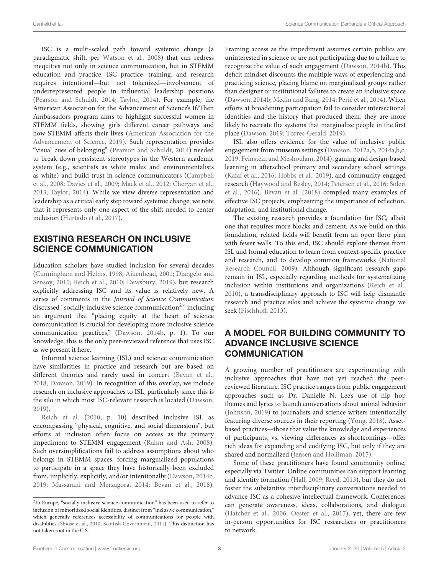ISC is a multi-scaled path toward systemic change (a paradigmatic shift, per [Watson et al., 2008\)](#page-9-1) that can redress inequities not only in science communication, but in STEMM education and practice. ISC practice, training, and research requires intentional—but not tokenized—involvement of underrepresented people in influential leadership positions [\(Pearson and Schuldt, 2014;](#page-8-20) [Taylor, 2014\)](#page-8-21). For example, the American Association for the Advancement of Science's If/Then Ambassadors program aims to highlight successful women in STEMM fields, showing girls different career pathways and how STEMM affects their lives (American Association for the Advancement of Science, [2019\)](#page-7-26). Such representation provides "visual cues of belonging" [\(Pearson and Schuldt, 2014\)](#page-8-20) needed to break down persistent stereotypes in the Western academic system (e.g., scientists as white males and environmentalists as white) and build trust in science communicators (Campbell et al., [2008;](#page-7-27) [Davies et al., 2009;](#page-7-28) [Mack et al., 2012;](#page-8-22) [Cheryan et al.,](#page-7-7) [2013;](#page-7-7) [Taylor, 2014\)](#page-8-21). While we view diverse representation and leadership as a critical early step toward systemic change, we note that it represents only one aspect of the shift needed to center inclusion [\(Hurtado et al., 2017\)](#page-7-29).

#### EXISTING RESEARCH ON INCLUSIVE SCIENCE COMMUNICATION

Education scholars have studied inclusion for several decades [\(Cunningham and Helms, 1998;](#page-7-15) [Aikenhead, 2001;](#page-7-30) Diangelo and Sensoy, [2010;](#page-7-31) [Reich et al., 2010;](#page-8-2) [Dewsbury, 2019\)](#page-7-32), but research explicitly addressing ISC and its value is relatively new. A series of comments in the Journal of Science Communication discussed "socially inclusive science communication<sup>[2](#page-4-0)</sup>," including an argument that "placing equity at the heart of science communication is crucial for developing more inclusive science communication practices," [\(Dawson, 2014b,](#page-7-2) p. 1). To our knowledge, this is the only peer-reviewed reference that uses ISC as we present it here.

Informal science learning (ISL) and science communication have similarities in practice and research but are based on different theories and rarely used in concert [\(Bevan et al.,](#page-7-10) [2018;](#page-7-10) [Dawson, 2019\)](#page-7-12). In recognition of this overlap, we include research on inclusive approaches to ISL, particularly since this is the silo in which most ISC-relevant research is located [\(Dawson,](#page-7-12) [2019\)](#page-7-12)[.](#page-8-2)

Reich et al. [\(2010,](#page-8-2) p. 10) described inclusive ISL as encompassing "physical, cognitive, and social dimensions", but efforts at inclusion often focus on access as the primary impediment to STEMM engagement [\(Rahm and Ash, 2008\)](#page-8-23). Such oversimplifications fail to address assumptions about who belongs in STEMM spaces, forcing marginalized populations to participate in a space they have historically been excluded from, implicitly, explicitly, and/or intentionally [\(Dawson, 2014c,](#page-7-5) [2019;](#page-7-12) [Massarani and Merzagora, 2014;](#page-8-10) [Bevan et al., 2018\)](#page-7-10). Framing access as the impediment assumes certain publics are uninterested in science or are not participating due to a failure to recognize the value of such engagement [\(Dawson, 2014b\)](#page-7-2). This deficit mindset discounts the multiple ways of experiencing and practicing science, placing blame on marginalized groups rather than designer or institutional failures to create an inclusive space [\(Dawson, 2014b;](#page-7-2) [Medin and Bang, 2014;](#page-8-6) [Perié et al., 2014\)](#page-8-13). When efforts at broadening participation fail to consider intersectional identities and the history that produced them, they are more likely to recreate the systems that marginalize people in the first place [\(Dawson, 2019;](#page-7-12) [Torres-Gerald, 2019\)](#page-8-26).

ISL also offers evidence for the value of inclusive public engagement from museum settings [\(Dawson, 2012a,](#page-7-33)[b,](#page-7-18) [2014a](#page-7-34)[,b](#page-7-2)[,c,](#page-7-5) [2019;](#page-7-12) [Feinstein and Meshoulam, 2014\)](#page-7-3), gaming and design-based learning in afterschool primary and secondary school settings [\(Kafai et al., 2016;](#page-8-27) [Hobbs et al., 2019\)](#page-7-35), and community-engaged research [\(Haywood and Besley, 2014;](#page-7-8) [Petersen et al., 2016;](#page-8-28) Soleri et al., [2016\)](#page-8-29). [Bevan et al. \(2018\)](#page-7-10) compiled many examples of effective ISC projects, emphasizing the importance of reflection, adaptation, and institutional change.

The existing research provides a foundation for ISC, albeit one that requires more blocks and cement. As we build on this foundation, related fields will benefit from an open floor plan with fewer walls. To this end, ISC should explore themes from ISL and formal education to learn from context-specific practice and research, and to develop common frameworks (National Research Council, [2009\)](#page-8-30). Although significant research gaps remain in ISL, especially regarding methods for systematizing inclusion within institutions and organizations [\(Reich et al.,](#page-8-2) [2010\)](#page-8-2), a transdisciplinary approach to ISC will help dismantle research and practice silos and achieve the systemic change we seek [\(Fischhoff, 2013\)](#page-7-36).

#### A MODEL FOR BUILDING COMMUNITY TO ADVANCE INCLUSIVE SCIENCE **COMMUNICATION**

A growing number of practitioners are experimenting with inclusive approaches that have not yet reached the peerreviewed literature. ISC practice ranges from public engagement approaches such as Dr. Danielle N. Lee's use of hip hop themes and lyrics to launch conversations about animal behavior [\(Johnson, 2019\)](#page-8-31) to journalists and science writers intentionally featuring diverse sources in their reporting [\(Yong, 2018\)](#page-9-2). Assetbased practices—those that value the knowledge and experiences of participants, vs. viewing differences as shortcomings—offer rich ideas for expanding and codifying ISC, but only if they are shared and normalized [\(Jensen and Holliman, 2015\)](#page-8-32).

Some of these practitioners have found community online, especially via Twitter. Online communities can support learning and identity formation [\(Hall, 2009;](#page-7-37) [Reed, 2013\)](#page-8-33), but they do not foster the substantive interdisciplinary conversations needed to advance ISC as a cohesive intellectual framework. Conferences can generate awareness, ideas, collaborations, and dialogue [\(Hatcher et al., 2006;](#page-7-38) [Oester et al., 2017\)](#page-8-34), yet, there are few in-person opportunities for ISC researchers or practitioners to network.

<span id="page-4-0"></span><sup>&</sup>lt;sup>2</sup>In Europe, "socially inclusive science communication" has been used to refer to inclusion of minoritized social identities, distinct from "inclusive communication," which generally references accessibility of communications for people with disabilities [\(Shiose et al., 2010;](#page-8-24) [Scottish Government, 2011\)](#page-8-25). This distinction has not taken root in the U.S.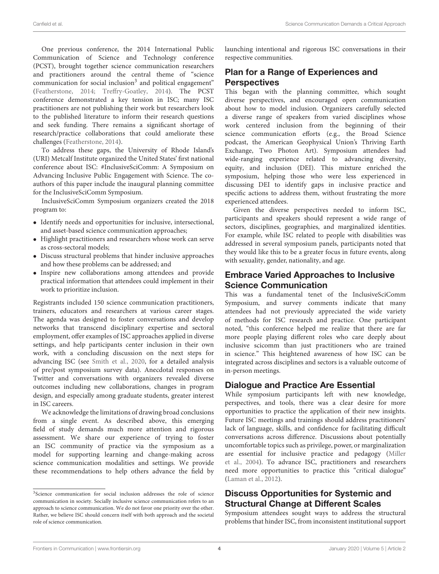One previous conference, the 2014 International Public Communication of Science and Technology conference (PCST), brought together science communication researchers and practitioners around the central theme of "science communication for social inclusion<sup>[3](#page-5-0)</sup> and political engagement" [\(Featherstone, 2014;](#page-7-39) [Treffry-Goatley, 2014\)](#page-8-35). The PCST conference demonstrated a key tension in ISC; many ISC practitioners are not publishing their work but researchers look to the published literature to inform their research questions and seek funding. There remains a significant shortage of research/practice collaborations that could ameliorate these challenges [\(Featherstone, 2014\)](#page-7-39).

To address these gaps, the University of Rhode Island's (URI) Metcalf Institute organized the United States' first national conference about ISC: #InclusiveSciComm: A Symposium on Advancing Inclusive Public Engagement with Science. The coauthors of this paper include the inaugural planning committee for the InclusiveSciComm Symposium.

InclusiveSciComm Symposium organizers created the 2018 program to:

- Identify needs and opportunities for inclusive, intersectional, and asset-based science communication approaches;
- Highlight practitioners and researchers whose work can serve as cross-sectoral models;
- Discuss structural problems that hinder inclusive approaches and how these problems can be addressed; and
- Inspire new collaborations among attendees and provide practical information that attendees could implement in their work to prioritize inclusion.

Registrants included 150 science communication practitioners, trainers, educators and researchers at various career stages. The agenda was designed to foster conversations and develop networks that transcend disciplinary expertise and sectoral employment, offer examples of ISC approaches applied in diverse settings, and help participants center inclusion in their own work, with a concluding discussion on the next steps for advancing ISC (see [Smith et al., 2020,](#page-8-36) for a detailed analysis of pre/post symposium survey data). Anecdotal responses on Twitter and conversations with organizers revealed diverse outcomes including new collaborations, changes in program design, and especially among graduate students, greater interest in ISC careers.

We acknowledge the limitations of drawing broad conclusions from a single event. As described above, this emerging field of study demands much more attention and rigorous assessment. We share our experience of trying to foster an ISC community of practice via the symposium as a model for supporting learning and change-making across science communication modalities and settings. We provide these recommendations to help others advance the field by launching intentional and rigorous ISC conversations in their respective communities.

#### Plan for a Range of Experiences and **Perspectives**

This began with the planning committee, which sought diverse perspectives, and encouraged open communication about how to model inclusion. Organizers carefully selected a diverse range of speakers from varied disciplines whose work centered inclusion from the beginning of their science communication efforts (e.g., the Broad Science podcast, the American Geophysical Union's Thriving Earth Exchange, Two Photon Art). Symposium attendees had wide-ranging experience related to advancing diversity, equity, and inclusion (DEI). This mixture enriched the symposium, helping those who were less experienced in discussing DEI to identify gaps in inclusive practice and specific actions to address them, without frustrating the more experienced attendees.

Given the diverse perspectives needed to inform ISC, participants and speakers should represent a wide range of sectors, disciplines, geographies, and marginalized identities. For example, while ISC related to people with disabilities was addressed in several symposium panels, participants noted that they would like this to be a greater focus in future events, along with sexuality, gender, nationality, and age.

#### Embrace Varied Approaches to Inclusive Science Communication

This was a fundamental tenet of the InclusiveSciComm Symposium, and survey comments indicate that many attendees had not previously appreciated the wide variety of methods for ISC research and practice. One participant noted, "this conference helped me realize that there are far more people playing different roles who care deeply about inclusive scicomm than just practitioners who are trained in science." This heightened awareness of how ISC can be integrated across disciplines and sectors is a valuable outcome of in-person meetings.

#### Dialogue and Practice Are Essential

While symposium participants left with new knowledge, perspectives, and tools, there was a clear desire for more opportunities to practice the application of their new insights. Future ISC meetings and trainings should address practitioners' lack of language, skills, and confidence for facilitating difficult conversations across difference. Discussions about potentially uncomfortable topics such as privilege, power, or marginalization are essential for inclusive practice and pedagogy (Miller et al., [2004\)](#page-8-37). To advance ISC, practitioners and researchers need more opportunities to practice this "critical dialogue" [\(Laman et al., 2012\)](#page-8-38).

#### Discuss Opportunities for Systemic and Structural Change at Different Scales

Symposium attendees sought ways to address the structural problems that hinder ISC, from inconsistent institutional support

<span id="page-5-0"></span><sup>&</sup>lt;sup>3</sup>Science communication for social inclusion addresses the role of science communication in society. Socially inclusive science communication refers to an approach to science communication. We do not favor one priority over the other. Rather, we believe ISC should concern itself with both approach and the societal role of science communication.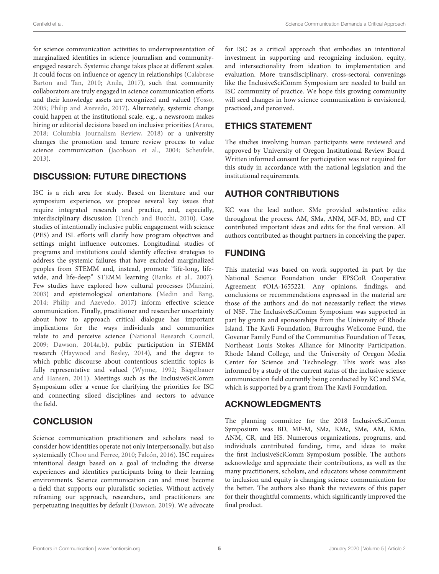for science communication activities to underrepresentation of marginalized identities in science journalism and communityengaged research. Systemic change takes place at different scales. It could focus on influence or agency in relationships (Calabrese Barton and Tan, [2010;](#page-7-20) [Anila, 2017\)](#page-7-9), such that community collaborators are truly engaged in science communication efforts and their knowledge assets are recognized and valued [\(Yosso,](#page-9-3) [2005;](#page-9-3) [Philip and Azevedo, 2017\)](#page-8-39). Alternately, systemic change could happen at the institutional scale, e.g., a newsroom makes hiring or editorial decisions based on inclusive priorities [\(Arana,](#page-7-40) [2018;](#page-7-40) [Columbia Journalism Review, 2018\)](#page-7-41) or a university changes the promotion and tenure review process to value science communication [\(Jacobson et al., 2004;](#page-8-40) [Scheufele,](#page-8-41) [2013\)](#page-8-41).

#### DISCUSSION: FUTURE DIRECTIONS

ISC is a rich area for study. Based on literature and our symposium experience, we propose several key issues that require integrated research and practice, and, especially, interdisciplinary discussion [\(Trench and Bucchi, 2010\)](#page-8-42). Case studies of intentionally inclusive public engagement with science (PES) and ISL efforts will clarify how program objectives and settings might influence outcomes. Longitudinal studies of programs and institutions could identify effective strategies to address the systemic failures that have excluded marginalized peoples from STEMM and, instead, promote "life-long, lifewide, and life-deep" STEMM learning [\(Banks et al., 2007\)](#page-7-6). Few studies have explored how cultural processes [\(Manzini,](#page-8-43) [2003\)](#page-8-43) and epistemological orientations [\(Medin and Bang,](#page-8-6) [2014;](#page-8-6) [Philip and Azevedo, 2017\)](#page-8-39) inform effective science communication. Finally, practitioner and researcher uncertainty about how to approach critical dialogue has important implications for the ways individuals and communities relate to and perceive science [\(National Research Council,](#page-8-30) [2009;](#page-8-30) [Dawson, 2014a](#page-7-34)[,b\)](#page-7-2), public participation in STEMM research [\(Haywood and Besley, 2014\)](#page-7-8), and the degree to which public discourse about contentious scientific topics is fully representative and valued [\(Wynne, 1992;](#page-9-0) Biegelbauer and Hansen, [2011\)](#page-7-42). Meetings such as the InclusiveSciComm Symposium offer a venue for clarifying the priorities for ISC and connecting siloed disciplines and sectors to advance the field.

#### **CONCLUSION**

Science communication practitioners and scholars need to consider how identities operate not only interpersonally, but also systemically [\(Choo and Ferree, 2010;](#page-7-43) [Falcón, 2016\)](#page-7-44). ISC requires intentional design based on a goal of including the diverse experiences and identities participants bring to their learning environments. Science communication can and must become a field that supports our pluralistic societies. Without actively reframing our approach, researchers, and practitioners are perpetuating inequities by default [\(Dawson, 2019\)](#page-7-12). We advocate for ISC as a critical approach that embodies an intentional investment in supporting and recognizing inclusion, equity, and intersectionality from ideation to implementation and evaluation. More transdisciplinary, cross-sectoral convenings like the InclusiveSciComm Symposium are needed to build an ISC community of practice. We hope this growing community will seed changes in how science communication is envisioned, practiced, and perceived.

### ETHICS STATEMENT

The studies involving human participants were reviewed and approved by University of Oregon Institutional Review Board. Written informed consent for participation was not required for this study in accordance with the national legislation and the institutional requirements.

## AUTHOR CONTRIBUTIONS

KC was the lead author. SMe provided substantive edits throughout the process. AM, SMa, ANM, MF-M, BD, and CT contributed important ideas and edits for the final version. All authors contributed as thought partners in conceiving the paper.

### FUNDING

This material was based on work supported in part by the National Science Foundation under EPSCoR Cooperative Agreement #OIA-1655221. Any opinions, findings, and conclusions or recommendations expressed in the material are those of the authors and do not necessarily reflect the views of NSF. The InclusiveSciComm Symposium was supported in part by grants and sponsorships from the University of Rhode Island, The Kavli Foundation, Burroughs Wellcome Fund, the Govenar Family Fund of the Communities Foundation of Texas, Northeast Louis Stokes Alliance for Minority Participation, Rhode Island College, and the University of Oregon Media Center for Science and Technology. This work was also informed by a study of the current status of the inclusive science communication field currently being conducted by KC and SMe, which is supported by a grant from The Kavli Foundation.

## ACKNOWLEDGMENTS

The planning committee for the 2018 InclusiveSciComm Symposium was BD, MF-M, SMa, KMc, SMe, AM, KMo, ANM, CR, and HS. Numerous organizations, programs, and individuals contributed funding, time, and ideas to make the first InclusiveSciComm Symposium possible. The authors acknowledge and appreciate their contributions, as well as the many practitioners, scholars, and educators whose commitment to inclusion and equity is changing science communication for the better. The authors also thank the reviewers of this paper for their thoughtful comments, which significantly improved the final product.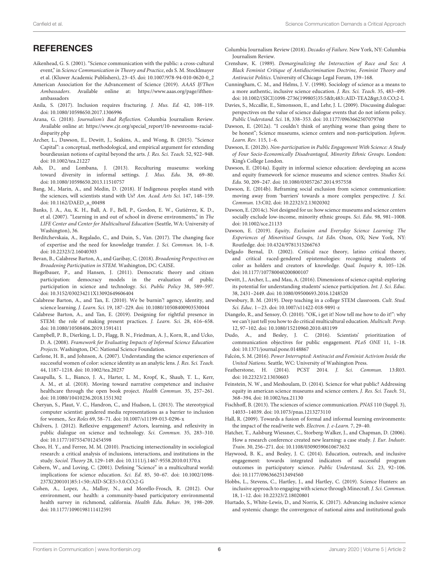#### **REFERENCES**

- <span id="page-7-30"></span>Aikenhead, G. S. (2001). "Science communication with the public: a cross-cultural event," in Science Communication in Theory and Practice, eds S. M. Stocklmayer et al. (Kluwer Academic Publishers), 23–45. doi: [10.1007/978-94-010-0620-0\\_2](https://doi.org/10.1007/978-94-010-0620-0_2)
- <span id="page-7-26"></span>American Association for the Advancement of Science (2019). AAAS If/Then Ambassadors. Available online at: [https://www.aaas.org/page/ifthen](https://www.aaas.org/page/ifthen-ambassadors)[ambassadors](https://www.aaas.org/page/ifthen-ambassadors)
- <span id="page-7-9"></span>Anila, S. (2017). Inclusion requires fracturing. J. Mus. Ed. 42, 108–119. doi: [10.1080/10598650.2017.1306996](https://doi.org/10.1080/10598650.2017.1306996)
- <span id="page-7-40"></span>Arana, G. (2018). Journalism's Bad Reflection. Columbia Journalism Review. Available online at: [https://www.cjr.org/special\\_report/10-newsrooms-racial](https://www.cjr.org/special_report/10-newsrooms-racial-disparity.php)[disparity.php](https://www.cjr.org/special_report/10-newsrooms-racial-disparity.php)
- <span id="page-7-23"></span>Archer, L., Dawson, E., Dewitt, J., Seakins, A., and Wong, B. (2015). "Science Capital": a conceptual, methodological, and empirical argument for extending bourdieusian notions of capital beyond the arts. J. Res. Sci. Teach. 52, 922–948. doi: [10.1002/tea.21227](https://doi.org/10.1002/tea.21227)
- <span id="page-7-11"></span>Ash, D., and Lombana, J. (2013). Reculturing museums: working toward diversity in informal settings. J. Mus. Edu. 38, 69–80. doi: [10.1080/10598650.2013.11510757](https://doi.org/10.1080/10598650.2013.11510757)
- <span id="page-7-14"></span>Bang, M., Marin, A., and Medin, D. (2018). If Indigenous peoples stand with the sciences, will scientists stand with Us? Am. Acad. Arts Sci. 147, 148–159. doi: [10.1162/DAED\\_a\\_00498](https://doi.org/10.1162/DAED_a_00498)
- <span id="page-7-6"></span>Banks, J. A., Au, K. H., Ball, A. F., Bell, P., Gordon, E. W., Gutiérrez, K. D., et al. (2007). "Learning in and out of school in diverse environments," in The LIFE Center and Center for Multicultural Education (Seattle, WA: University of Washington), 36.
- <span id="page-7-19"></span>Berditchevskaia, A., Regalado, C., and Duin, S., Van. (2017). The changing face of expertise and the need for knowledge transfer. J. Sci. Commun. 16, 1–8. doi: [10.22323/2.16040303](https://doi.org/10.22323/2.16040303)
- <span id="page-7-10"></span>Bevan, B., Calabrese Barton, A., and Garibay, C. (2018). Broadening Perspectives on Broadening Participation in STEM. Washington, DC: CAISE.
- <span id="page-7-42"></span>Biegelbauer, P., and Hansen, J. (2011). Democratic theory and citizen participation: democracy models in the evaluation of public participation in science and technology. Sci. Public Policy 38, 589-597. doi: [10.3152/030234211X13092649606404](https://doi.org/10.3152/030234211X13092649606404)
- <span id="page-7-20"></span>Calabrese Barton, A., and Tan, E. (2010). We be burnin'! agency, identity, and science learning. J. Learn. Sci. 19, 187–229. doi: [10.1080/10508400903530044](https://doi.org/10.1080/10508400903530044)
- <span id="page-7-16"></span>Calabrese Barton, A., and Tan, E. (2019). Designing for rightful presence in STEM: the role of making present practices. J. Learn. Sci. 28, 616–658. doi: [10.1080/10508406.2019.1591411](https://doi.org/10.1080/10508406.2019.1591411)
- <span id="page-7-27"></span>Campbell, P. B., Dierking, L. D., Flagg, B. N., Friedman, A. J., Korn, R., and Ucko, D. A. (2008). Framework for Evaluating Impacts of Informal Science Education Projects. Washington, DC: National Science Foundation.
- <span id="page-7-22"></span>Carlone, H. B., and Johnson, A. (2007). Understanding the science experiences of successful women of color: science identity as an analytic lens. J. Res. Sci. Teach. 44, 1187–1218. doi: [10.1002/tea.20237](https://doi.org/10.1002/tea.20237)
- <span id="page-7-25"></span>Casapulla, S. L., Bianco, J. A., Harter, L. M., Kropf, K., Shaub, T. L., Kerr, A. M., et al. (2018). Moving toward narrative competence and inclusive healthcare through the open book project. Health Commun. 35, 257–261. doi: [10.1080/10410236.2018.1551302](https://doi.org/10.1080/10410236.2018.1551302)
- <span id="page-7-7"></span>Cheryan, S., Plaut, V. C., Handron, C., and Hudson, L. (2013). The stereotypical computer scientist: gendered media representations as a barrier to inclusion for women,. Sex Roles 69, 58–71. doi: [10.1007/s11199-013-0296-x](https://doi.org/10.1007/s11199-013-0296-x)
- <span id="page-7-0"></span>Chilvers, J. (2012). Reflexive engagement? Actors, learning, and reflexivity in public dialogue on science and technology. Sci. Commun. 35, 283–310. doi: [10.1177/1075547012454598](https://doi.org/10.1177/1075547012454598)
- <span id="page-7-43"></span>Choo, H. Y., and Ferree, M. M. (2010). Practicing intersectionality in sociological research: a critical analysis of inclusions, interactions, and institutions in the study. Sociol. Theory 28, 129–149. doi: [10.1111/j.1467-9558.2010.01370.x](https://doi.org/10.1111/j.1467-9558.2010.01370.x)
- <span id="page-7-13"></span>Cobern, W., and Loving, C. (2001). Defining "Science" in a multicultural world: implications for science education. Sci. Ed. 85, 50–67. doi: 10.1002/1098- [237X\(200101\)85:1<50::AID-SCE5>3.0.CO;2-G](https://doi.org/10.1002/1098-237X(200101)85:1<50::AID-SCE5>3.0.CO;2-G)
- <span id="page-7-17"></span>Cohen, A., Lopez, A., Malloy, N., and Morello-Frosch, R. (2012). Our environment, our health: a community-based participatory environmental health survey in richmond, california. Health Edu. Behav. 39, 198–209. doi: [10.1177/1090198111412591](https://doi.org/10.1177/1090198111412591)
- <span id="page-7-41"></span>Columbia Journalism Review (2018). Decades of Failure. New York, NY: Columbia Journalism Review.
- <span id="page-7-4"></span>Crenshaw, K. (1989). Demarginalizing the Intersection of Race and Sex: A Black Feminist Critique of Antidiscrimination Doctrine, Feminist Theory and Antiracist Politics. University of Chicago Legal Forum, 139–168.
- <span id="page-7-15"></span>Cunningham, C. M., and Helms, J. V. (1998). Sociology of science as a means to a more authentic, inclusive science education. J. Res. Sci. Teach. 35, 483–499. doi: [10.1002/\(SICI\)1098-2736\(199805\)35:5<](https://doi.org/10.1002/(SICI)1098-2736(199805)35:5<)483::AID-TEA2&gt;3.0.CO;2-L
- <span id="page-7-28"></span>Davies, S., Mccallie, E., Simonsson, E., and Lehr, J. L. (2009). Discussing dialogue: perspectives on the value of science dialogue events that do not inform policy. Public Understand. Sci. 18, 338–353. doi: [10.1177/0963662507079760](https://doi.org/10.1177/0963662507079760)
- <span id="page-7-33"></span>Dawson, E. (2012a). "I couldn't think of anything worse than going there to be honest"; Science museums, science centers and non-participation. Inform. Learn. Rev. 115, 1–6.
- <span id="page-7-18"></span>Dawson, E. (2012b). Non-participation in Public Engagement With Science: A Study of Four Socio-Economically Disadvantaged, Minority Ethnic Groups. London: King's College London.
- <span id="page-7-34"></span>Dawson, E. (2014a). Equity in informal science education: developing an access and equity framework for science museums and science centres. Studies Sci. Edu. 50, 209–247. doi: [10.1080/03057267.2014.957558](https://doi.org/10.1080/03057267.2014.957558)
- <span id="page-7-2"></span>Dawson, E. (2014b). Reframing social exclusion from science communication: moving away from 'barriers' towards a more complex perspective. J. Sci. Commun. 13:C02. doi: [10.22323/2.13020302](https://doi.org/10.22323/2.13020302)
- <span id="page-7-5"></span>Dawson, E. (2014c). Not designed for us: how science museums and science centers socially exclude low-income, minority ethnic groups. Sci. Edu. 98, 981–1008. doi: [10.1002/sce.21133](https://doi.org/10.1002/sce.21133)
- <span id="page-7-12"></span>Dawson, E. (2019). Equity, Exclusion and Everyday Science Learning: The Experiences of Minoritised Groups, 1st Edn. Oxon, OX; New York, NY: Routledge. doi: [10.4324/9781315266763](https://doi.org/10.4324/9781315266763)
- <span id="page-7-21"></span>Delgado Bernal, D. (2002). Critical race theory, latino critical theory, and critical raced-gendered epistemologies: recognizing students of color as holders and creators of knowledge. Qual. Inquiry 8, 105–126. doi: [10.1177/107780040200800107](https://doi.org/10.1177/107780040200800107)
- <span id="page-7-24"></span>Dewitt, J., Archer, L., and Mau, A. (2016). Dimensions of science capital: exploring its potential for understanding students' science participation. Int. J. Sci. Educ. 38, 2431–2449. doi: [10.1080/09500693.2016.1248520](https://doi.org/10.1080/09500693.2016.1248520)
- <span id="page-7-32"></span>Dewsbury, B. M. (2019). Deep teaching in a college STEM classroom. Cult. Stud. Sci. Educ. 1−23. doi: [10.1007/s11422-018-9891-z](https://doi.org/10.1007/s11422-018-9891-z)
- <span id="page-7-31"></span>Diangelo, R., and Sensoy, Ö. (2010). "OK, i get it! Now tell me how to do it!": why we can't just tell you how to do critical multicultural education. Multicult. Persp. 12, 97–102. doi: [10.1080/15210960.2010.481199](https://doi.org/10.1080/15210960.2010.481199)
- <span id="page-7-1"></span>Dudo, A., and Besley, J. C. (2016). Scientists' prioritization of communication objectives for public engagement. PLoS ONE 11, 1–18. doi: [10.1371/journal.pone.0148867](https://doi.org/10.1371/journal.pone.0148867)
- <span id="page-7-44"></span>Falcón, S. M. (2016). Power Interrupted: Antiracist and Feminist Activism Inside the United Nations. Seattle, WC: University of Washington Press.
- <span id="page-7-39"></span>Featherstone, H. (2014). PCST 2014. J. Sci. Commun. 13:R03. doi: [10.22323/2.13030603](https://doi.org/10.22323/2.13030603)
- <span id="page-7-3"></span>Feinstein, N. W., and Meshoulam, D. (2014). Science for what public? Addressing equity in american science museums and science centers. J. Res. Sci. Teach. 51, 368–394. doi: [10.1002/tea.21130](https://doi.org/10.1002/tea.21130)
- <span id="page-7-36"></span>Fischhoff, B. (2013). The sciences of science communication. PNAS 110 (Suppl. 3), 14033–14039. doi: [10.1073/pnas.1213273110](https://doi.org/10.1073/pnas.1213273110)
- <span id="page-7-37"></span>Hall, R. (2009). Towards a fusion of formal and informal learning environments: the impact of the read/write web. Electron. J. e-Learn. 7, 29–40.
- <span id="page-7-38"></span>Hatcher, T., Aalsburg Wiessner, C., Storberg-Walker, J., and Chapman, D. (2006). How a research conference created new learning: a case study. J. Eur. Industr. Train. 30, 256–271. doi: [10.1108/03090590610673632](https://doi.org/10.1108/03090590610673632)
- <span id="page-7-8"></span>Haywood, B. K., and Besley, J. C. (2014). Education, outreach, and inclusive engagement: towards integrated indicators of successful program outcomes in participatory science. Public Understand. Sci. 23, 92–106. doi: [10.1177/0963662513494560](https://doi.org/10.1177/0963662513494560)
- <span id="page-7-35"></span>Hobbs, L., Stevens, C., Hartley, J., and Hartley, C. (2019). Science Hunters: an inclusive approach to engaging with science through Minecraft. J. Sci. Commun. 18, 1–12. doi: [10.22323/2.18020801](https://doi.org/10.22323/2.18020801)
- <span id="page-7-29"></span>Hurtado, S., White-Lewis, D., and Norris, K. (2017). Advancing inclusive science and systemic change: the convergence of national aims and institutional goals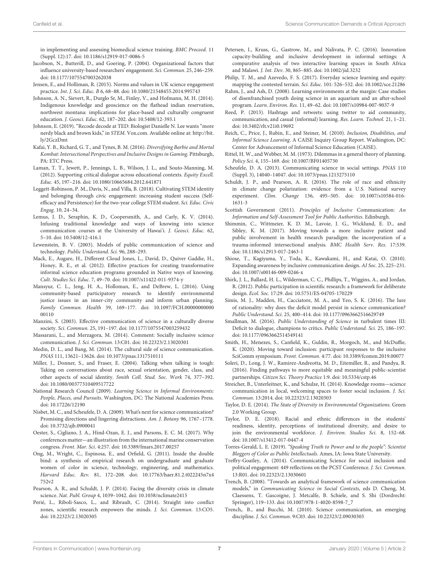in implementing and assessing biomedical science training. BMC Proceed. 11 (Suppl. 12):17. doi: [10.1186/s12919-017-0086-5](https://doi.org/10.1186/s12919-017-0086-5)

- <span id="page-8-40"></span>Jacobson, N., Butterill, D., and Goering, P. (2004). Organizational factors that influence university-based researchers' engagement. Sci. Commun. 25, 246–259. doi: [10.1177/1075547003262038](https://doi.org/10.1177/1075547003262038)
- <span id="page-8-32"></span>Jensen, E., and Holliman, R. (2015). Norms and values in UK science engagement practice. Int. J. Sci. Educ. B 6, 68–88. doi: [10.1080/21548455.2014.995743](https://doi.org/10.1080/21548455.2014.995743)
- <span id="page-8-17"></span>Johnson, A. N., Sievert, R., Durglo Sr, M., Finley, V., and Hofmann, M. H. (2014). Indigenous knowledge and geoscience on the flathead indian reservation, northwest montana: implications for place-based and culturally congruent education. J. Geosci. Educ. 62, 187–202. doi: [10.5408/12-393.1](https://doi.org/10.5408/12-393.1)
- <span id="page-8-31"></span>Johnson, E. (2019). "Recode decode at TED: Biologist Danielle N. Lee wants "more nerdy black and brown kids," in STEM. [Vox.com.](http://www.Vox.com) Available online at: [http://bit.](http://bit.ly/2GczDmt) [ly/2GczDmt](http://bit.ly/2GczDmt)
- <span id="page-8-27"></span>Kafai, Y. B., Richard, G. T., and Tynes, B. M. (2016). Diversifying Barbie and Mortal Kombat: Intersectional Perspectives and Inclusive Designs in Gaming. Pittsburgh, PA: ETC Press.
- <span id="page-8-38"></span>Laman, T. T., Jewett, P., Jennings, L. B., Wilson, J. L., and Souto-Manning, M. (2012). Supporting critical dialogue across educational contexts. Equity Excell. Educ. 45, 197–216. doi: [10.1080/10665684.2012.641871](https://doi.org/10.1080/10665684.2012.641871)
- <span id="page-8-5"></span>Leggett-Robinson, P. M., Davis, N., and Villa, B. (2018). Cultivating STEM identity and belonging through civic engagement: increasing student success (Selfefficacy and Persistence) for the two-year college STEM student. Sci. Educ. Civic Engag. 10, 24–34.
- <span id="page-8-18"></span>Lemus, J. D., Seraphin, K. D., Coopersmith, A., and Carly, K. V. (2014). Infusing traditional knowledge and ways of knowing into science communication courses at the University of Hawai'i. J. Geosci. Educ. 62, 5–10. doi: [10.5408/12-416.1](https://doi.org/10.5408/12-416.1)
- <span id="page-8-15"></span>Lewenstein, B. V. (2003). Models of public communication of science and technology. Public Understand. Sci. 96, 288–293.
- <span id="page-8-22"></span>Mack, E., Augare, H., Different Cloud Jones, L., David, D., Quiver Gaddie, H., Honey, R. E., et al. (2012). Effective practices for creating transformative informal science education programs grounded in Native ways of knowing. Cult. Studies Sci. Educ. 7, 49–70. doi: [10.1007/s11422-011-9374-y](https://doi.org/10.1007/s11422-011-9374-y)
- <span id="page-8-14"></span>Mansyur, C. L., Jeng, H. A., Holloman, E., and DeBrew, L. (2016). Using community-based participatory research to identify environmental justice issues in an inner-city community and inform urban planning. Family Commun. Health [39, 169–177. doi: 10.1097/FCH.00000000000](https://doi.org/10.1097/FCH.0000000000000110) 00110
- <span id="page-8-43"></span>Manzini, S. (2003). Effective communication of science in a culturally diverse society. Sci. Commun. 25, 191–197. doi: [10.1177/1075547003259432](https://doi.org/10.1177/1075547003259432)
- <span id="page-8-10"></span>Massarani, L., and Merzagora, M. (2014). Comment: Socially inclusive science communication. J. Sci. Commun. 13:C01. doi: [10.22323/2.13020301](https://doi.org/10.22323/2.13020301)
- <span id="page-8-6"></span>Medin, D. L., and Bang, M. (2014). The cultural side of science communication. PNAS 111, 13621–13626. doi: [10.1073/pnas.1317510111](https://doi.org/10.1073/pnas.1317510111)
- <span id="page-8-37"></span>Miller, J., Donner, S., and Fraser, E. (2004). Talking when talking is tough: Taking on conversations about race, sexual orientation, gender, class, and other aspects of social identity. Smith Coll. Stud. Soc. Work 74, 377–392. doi: [10.1080/00377310409517722](https://doi.org/10.1080/00377310409517722)
- <span id="page-8-30"></span>National Research Council (2009). Learning Science in Informal Environments: People, Places, and Pursuits. Washington, DC: The National Academies Press. doi: [10.17226/12190](https://doi.org/10.17226/12190)
- <span id="page-8-8"></span>Nisbet, M. C., and Scheufele, D. A. (2009). What's next for science communication? Promising directions and lingering distractions. Am. J. Botany 96, 1767–1778. doi: [10.3732/ajb.0900041](https://doi.org/10.3732/ajb.0900041)
- <span id="page-8-34"></span>Oester, S., Cigliano, J. A., Hind-Ozan, E. J., and Parsons, E. C. M. (2017). Why conferences matter—an illustration from the international marine conservation congress. Front. Mar. Sci. 4:257. doi: [10.3389/fmars.2017.00257](https://doi.org/10.3389/fmars.2017.00257)
- <span id="page-8-19"></span>Ong, M., Wright, C., Espinosa, E., and Orfield, G. (2011). Inside the double bind: a synthesis of empirical research on undergraduate and graduate women of color in science, technology, engineering, and mathematics. Harvard Educ. Rev. [81, 172–208. doi: 10.17763/haer.81.2.t022245n7x4](https://doi.org/10.17763/haer.81.2.t022245n7x4752v2) 752v2
- <span id="page-8-20"></span>Pearson, A. R., and Schuldt, J. P. (2014). Facing the diversity crisis in climate science. Nat. Publ. Group 4, 1039–1042. doi: [10.1038/nclimate2415](https://doi.org/10.1038/nclimate2415)
- <span id="page-8-13"></span>Perié, L., Riboli-Sasco, L., and Ribrault, C. (2014). Straight into conflict zones, scientific research empowers the minds. J. Sci. Commun. 13:CO5. doi: [10.22323/2.13020305](https://doi.org/10.22323/2.13020305)
- <span id="page-8-28"></span>Petersen, I., Kruss, G., Gastrow, M., and Nalivata, P. C. (2016). Innovation capacity-building and inclusive development in informal settings: A comparative analysis of two interactive learning spaces in South Africa and Malawi. J. Int. Dev. 30, 865–885. doi: [10.1002/jid.3232](https://doi.org/10.1002/jid.3232)
- <span id="page-8-39"></span>Philip, T. M., and Azevedo, F. S. (2017). Everyday science learning and equity: mapping the contested terrain. Sci. Educ. 101: 526–532. doi: [10.1002/sce.21286](https://doi.org/10.1002/sce.21286)
- <span id="page-8-23"></span>Rahm, J., and Ash, D. (2008). Learning environments at the margin: Case studies of disenfranchised youth doing science in an aquarium and an after-school program. Learn. Environ. Res. 11, 49–62. doi: [10.1007/s10984-007-9037-9](https://doi.org/10.1007/s10984-007-9037-9)
- <span id="page-8-33"></span>Reed, P. (2013). Hashtags and retweets: using twitter to aid community, communication, and casual (informal) learning. Res. Learn. Technol. 21, 1–21. doi: [10.3402/rlt.v21i0.19692](https://doi.org/10.3402/rlt.v21i0.19692)
- <span id="page-8-2"></span>Reich, C., Price, J., Rubin, E., and Steiner, M. (2010). Inclusion, Disabilities, and Informal Science Learning. A CAISE Inquiry Group Report. Washington, DC: Center for Advancement of Informal Science Education (CAISE).
- <span id="page-8-12"></span>Rittel, H. W., and Webber, M. M. (1973). Dilemmas in a general theory of planning. Policy Sci. 4, 155–169. doi: [10.1007/BF01405730](https://doi.org/10.1007/BF01405730)
- <span id="page-8-41"></span>Scheufele, D. A. (2013). Communicating science in social settings. PNAS 110 (Suppl. 3), 14040–14047. doi: [10.1073/pnas.1213275110](https://doi.org/10.1073/pnas.1213275110)
- <span id="page-8-11"></span>Schuldt, J. P., and Pearson, A. R. (2016). The role of race and ethnicity in climate change polarization: evidence from a U.S. National survey experiment. Clim. Change [136, 495–505. doi: 10.1007/s10584-016-](https://doi.org/10.1007/s10584-016-1631-3) 1631-3
- <span id="page-8-25"></span>Scottish Government (2011). Principles of Inclusive Communication: An Information and Self-Assessment Tool for Public Authorities. Edinburgh.
- <span id="page-8-1"></span>Shimmin, C., Wittmeier, K. D. M., Lavoie, J. G., Wicklund, E. D., and Sibley, K. M. (2017). Moving towards a more inclusive patient and public involvement in health research paradigm: the incorporation of a trauma-informed intersectional analysis. BMC Health Serv. Res. 17:539. doi: [10.1186/s12913-017-2463-1](https://doi.org/10.1186/s12913-017-2463-1)
- <span id="page-8-24"></span>Shiose, T., Kagiyama, Y., Toda, K., Kawakami, H., and Katai, O. (2010). Expanding awareness by inclusive communication design. AI Soc. 25, 225–231. doi: [10.1007/s00146-009-0246-x](https://doi.org/10.1007/s00146-009-0246-x)
- <span id="page-8-16"></span>Shirk, J. L., Ballard, H. L., Wilderman, C. C., Phillips, T., Wiggins, A., and Jordan, R. (2012). Public participation in scientific research: a framework for deliberate design. Ecol. Soc. 17:29. doi: [10.5751/ES-04705-170229](https://doi.org/10.5751/ES-04705-170229)
- <span id="page-8-4"></span>Simis, M. J., Madden, H., Cacciatore, M. A., and Yeo, S. K. (2016). The lure of rationality: why does the deficit model persist in science communication? Public Understand. Sci. 25, 400–414. doi: [10.1177/0963662516629749](https://doi.org/10.1177/0963662516629749)
- <span id="page-8-9"></span>Smallman, M. (2016). Public Understanding of Science in turbulent times III: Deficit to dialogue, champions to critics. Public Understand. Sci. 25, 186–197. doi: [10.1177/0963662514549141](https://doi.org/10.1177/0963662514549141)
- <span id="page-8-36"></span>Smith, H., Menezes, S., Canfield, K., Guldin, R., Morgoch, M., and McDuffie, K. (2020). Moving toward inclusion: participant responses to the inclusive SciComm symposium. Front. Commun. 4:77. doi: [10.3389/fcomm.2019.00077](https://doi.org/10.3389/fcomm.2019.00077)
- <span id="page-8-29"></span>Soleri, D., Long, J. W., Ramirez-Andreotta, M. D., Eitemiller, R., and Pandya, R. (2016). Finding pathways to more equitable and meaningful public-scientist partnerships. Citizen Sci. Theory Practice 1:9. doi: [10.5334/cstp.46](https://doi.org/10.5334/cstp.46)
- <span id="page-8-0"></span>Streicher, B., Unterleitner, K., and Schulze, H. (2014). Knowledge rooms—science communication in local, welcoming spaces to foster social inclusion. J. Sci. Commun. 13:2014. doi: [10.22323/2.13020303](https://doi.org/10.22323/2.13020303)
- <span id="page-8-21"></span>Taylor, D. E. (2014). The State of Diversity in Environmental Organizations. Green 2.0 Working Group.
- <span id="page-8-7"></span>Taylor, D. E. (2018). Racial and ethnic differences in the students' readiness, identity, perceptions of institutional diversity, and desire to join the environmental workforce. J. Environ. Studies Sci. 8, 152–68. doi: [10.1007/s13412-017-0447-4](https://doi.org/10.1007/s13412-017-0447-4)
- <span id="page-8-26"></span>Torres-Gerald, L. E. (2019). "Speaking Truth to Power and to the people": Scientist Bloggers of Color as Public Intellectuals. Ames, IA: Iowa State University.
- <span id="page-8-35"></span>Treffry-Goatley, A. (2014). Communicating Science for social inclusion and political engagement: 449 reflections on the PCST Conference. J. Sci. Commun. 13:R01. doi: [10.22323/2.13030601](https://doi.org/10.22323/2.13030601)
- <span id="page-8-3"></span>Trench, B. (2008). "Towards an analytical framework of science communication models," in Communicating Science in Social Contexts, eds D. Cheng, M. Claessens, T. Gascoigne, J. Metcalfe, B. Schiele, and S. Shi (Dordrecht: Springer), 119–133. doi: [10.1007/978-1-4020-8598-7\\_7](https://doi.org/10.1007/978-1-4020-8598-7_7)
- <span id="page-8-42"></span>Trench,. B., and Bucchi, M. (2010). Science communication, an emerging discipline. J. Sci. Commun. 9:C03. doi: [10.22323/2.09030303](https://doi.org/10.22323/2.09030303)